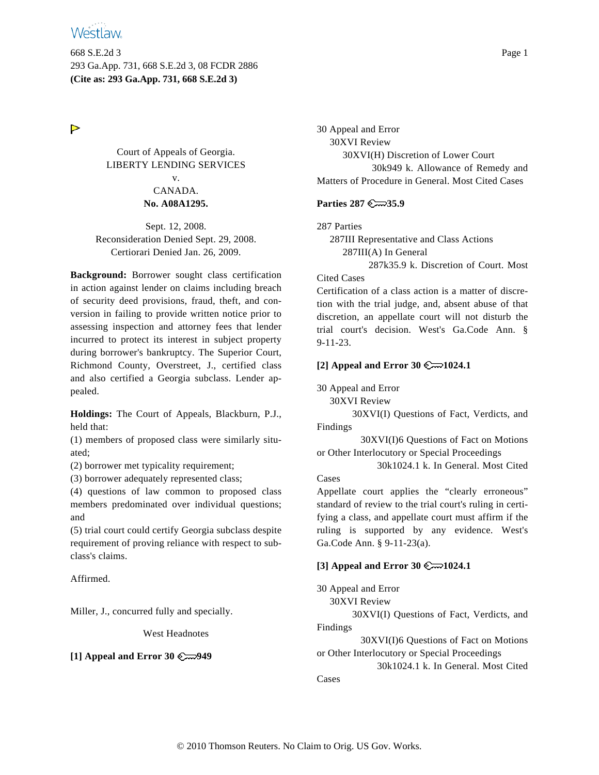668 S.E.2d 3 Page 1 293 Ga.App. 731, 668 S.E.2d 3, 08 FCDR 2886 **(Cite as: 293 Ga.App. 731, 668 S.E.2d 3)**

 $\triangleright$ 

Court of Appeals of Georgia. LIBERTY LENDING SERVICES v.

# CANADA. **No. A08A1295.**

Sept. 12, 2008. Reconsideration Denied Sept. 29, 2008. Certiorari Denied Jan. 26, 2009.

**Background:** Borrower sought class certification in action against lender on claims including breach of security deed provisions, fraud, theft, and conversion in failing to provide written notice prior to assessing inspection and attorney fees that lender incurred to protect its interest in subject property during borrower's bankruptcy. The Superior Court, Richmond County, Overstreet, J., certified class and also certified a Georgia subclass. Lender appealed.

**Holdings:** The Court of Appeals, Blackburn, P.J., held that:

(1) members of proposed class were similarly situated;

(2) borrower met typicality requirement;

(3) borrower adequately represented class;

(4) questions of law common to proposed class members predominated over individual questions; and

(5) trial court could certify Georgia subclass despite requirement of proving reliance with respect to subclass's claims.

Affirmed.

Miller, J., concurred fully and specially.

West Headnotes

## **[1] Appeal and Error 30 949**

30 Appeal and Error 30XVI Review 30XVI(H) Discretion of Lower Court 30k949 k. Allowance of Remedy and Matters of Procedure in General. Most Cited Cases

# **Parties 287 35.9**

287 Parties

287III Representative and Class Actions

287III(A) In General

287k35.9 k. Discretion of Court. Most

Cited Cases

Certification of a class action is a matter of discretion with the trial judge, and, absent abuse of that discretion, an appellate court will not disturb the trial court's decision. West's Ga.Code Ann. § 9-11-23.

# **[2] Appeal and Error 30**  $\mathbb{C}$  1024.1

30 Appeal and Error

30XVI Review

30XVI(I) Questions of Fact, Verdicts, and Findings

30XVI(I)6 Questions of Fact on Motions or Other Interlocutory or Special Proceedings

30k1024.1 k. In General. Most Cited Cases

Appellate court applies the "clearly erroneous" standard of review to the trial court's ruling in certifying a class, and appellate court must affirm if the ruling is supported by any evidence. West's Ga.Code Ann. § 9-11-23(a).

# **[3] Appeal and Error 30 1024.1**

30 Appeal and Error

30XVI Review

30XVI(I) Questions of Fact, Verdicts, and Findings

30XVI(I)6 Questions of Fact on Motions or Other Interlocutory or Special Proceedings

30k1024.1 k. In General. Most Cited Cases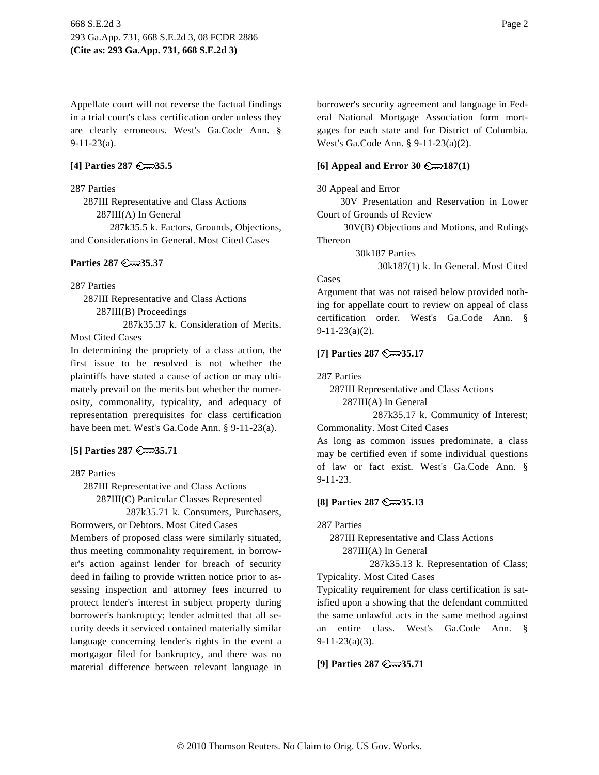Appellate court will not reverse the factual findings in a trial court's class certification order unless they are clearly erroneous. West's Ga.Code Ann. § 9-11-23(a).

## **[4] Parties 287 35.5**

287 Parties

287III Representative and Class Actions 287III(A) In General 287k35.5 k. Factors, Grounds, Objections, and Considerations in General. Most Cited Cases

#### **Parties 287 35.37**

287 Parties

287III Representative and Class Actions 287III(B) Proceedings

287k35.37 k. Consideration of Merits. Most Cited Cases

In determining the propriety of a class action, the first issue to be resolved is not whether the plaintiffs have stated a cause of action or may ultimately prevail on the merits but whether the numerosity, commonality, typicality, and adequacy of representation prerequisites for class certification have been met. West's Ga.Code Ann. § 9-11-23(a).

#### **[5] Parties 287 35.71**

287 Parties

287III Representative and Class Actions

287III(C) Particular Classes Represented 287k35.71 k. Consumers, Purchasers,

Borrowers, or Debtors. Most Cited Cases

Members of proposed class were similarly situated, thus meeting commonality requirement, in borrower's action against lender for breach of security deed in failing to provide written notice prior to assessing inspection and attorney fees incurred to protect lender's interest in subject property during borrower's bankruptcy; lender admitted that all security deeds it serviced contained materially similar language concerning lender's rights in the event a mortgagor filed for bankruptcy, and there was no material difference between relevant language in borrower's security agreement and language in Federal National Mortgage Association form mortgages for each state and for District of Columbia. West's Ga.Code Ann. § 9-11-23(a)(2).

### **[6] Appeal and Error 30 187(1)**

30 Appeal and Error

30V Presentation and Reservation in Lower Court of Grounds of Review

30V(B) Objections and Motions, and Rulings Thereon

30k187 Parties

30k187(1) k. In General. Most Cited

# Cases

Argument that was not raised below provided nothing for appellate court to review on appeal of class certification order. West's Ga.Code Ann. §  $9-11-23(a)(2)$ .

#### **[7] Parties 287 35.17**

287 Parties

287III Representative and Class Actions

287III(A) In General

287k35.17 k. Community of Interest; Commonality. Most Cited Cases

As long as common issues predominate, a class may be certified even if some individual questions of law or fact exist. West's Ga.Code Ann. § 9-11-23.

#### **[8] Parties 287 35.13**

287 Parties

287III Representative and Class Actions 287III(A) In General

287k35.13 k. Representation of Class; Typicality. Most Cited Cases

Typicality requirement for class certification is satisfied upon a showing that the defendant committed the same unlawful acts in the same method against an entire class. West's Ga.Code Ann. § 9-11-23(a)(3).

**[9] Parties 287 35.71**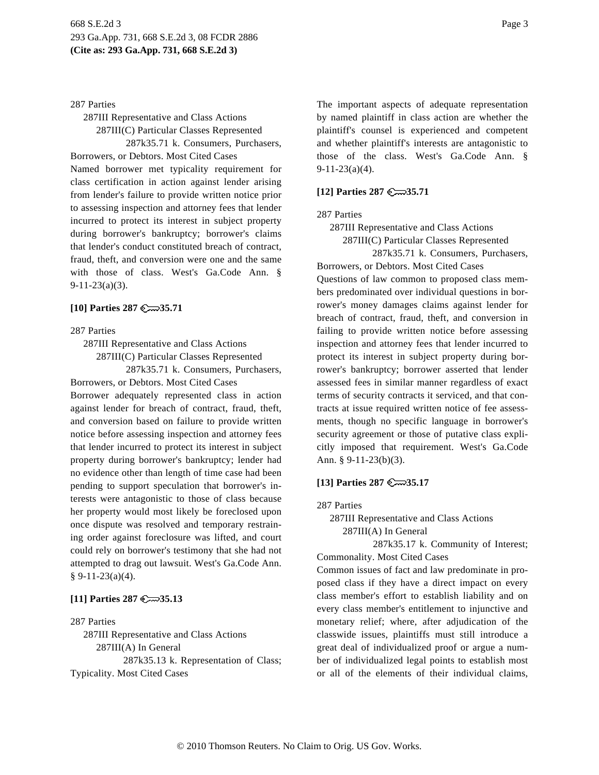#### 287 Parties

287III Representative and Class Actions 287III(C) Particular Classes Represented

287k35.71 k. Consumers, Purchasers,

Borrowers, or Debtors. Most Cited Cases Named borrower met typicality requirement for class certification in action against lender arising from lender's failure to provide written notice prior to assessing inspection and attorney fees that lender incurred to protect its interest in subject property during borrower's bankruptcy; borrower's claims that lender's conduct constituted breach of contract, fraud, theft, and conversion were one and the same with those of class. West's Ga.Code Ann. §  $9-11-23(a)(3)$ .

## **[10] Parties 287 35.71**

#### 287 Parties

287III Representative and Class Actions

287III(C) Particular Classes Represented

287k35.71 k. Consumers, Purchasers,

Borrowers, or Debtors. Most Cited Cases Borrower adequately represented class in action against lender for breach of contract, fraud, theft, and conversion based on failure to provide written notice before assessing inspection and attorney fees that lender incurred to protect its interest in subject property during borrower's bankruptcy; lender had no evidence other than length of time case had been pending to support speculation that borrower's interests were antagonistic to those of class because her property would most likely be foreclosed upon once dispute was resolved and temporary restraining order against foreclosure was lifted, and court could rely on borrower's testimony that she had not attempted to drag out lawsuit. West's Ga.Code Ann. § 9-11-23(a)(4).

## **[11] Parties 287 35.13**

#### 287 Parties

287III Representative and Class Actions 287III(A) In General 287k35.13 k. Representation of Class; Typicality. Most Cited Cases

The important aspects of adequate representation by named plaintiff in class action are whether the plaintiff's counsel is experienced and competent and whether plaintiff's interests are antagonistic to those of the class. West's Ga.Code Ann. § 9-11-23(a)(4).

## **[12] Parties 287 35.71**

## 287 Parties

287III Representative and Class Actions

287III(C) Particular Classes Represented

287k35.71 k. Consumers, Purchasers, Borrowers, or Debtors. Most Cited Cases Questions of law common to proposed class members predominated over individual questions in borrower's money damages claims against lender for breach of contract, fraud, theft, and conversion in failing to provide written notice before assessing inspection and attorney fees that lender incurred to protect its interest in subject property during borrower's bankruptcy; borrower asserted that lender assessed fees in similar manner regardless of exact terms of security contracts it serviced, and that contracts at issue required written notice of fee assessments, though no specific language in borrower's security agreement or those of putative class explicitly imposed that requirement. West's Ga.Code Ann. § 9-11-23(b)(3).

## **[13] Parties 287 35.17**

287 Parties

287III Representative and Class Actions 287III(A) In General

287k35.17 k. Community of Interest; Commonality. Most Cited Cases

Common issues of fact and law predominate in proposed class if they have a direct impact on every class member's effort to establish liability and on every class member's entitlement to injunctive and monetary relief; where, after adjudication of the classwide issues, plaintiffs must still introduce a great deal of individualized proof or argue a number of individualized legal points to establish most or all of the elements of their individual claims,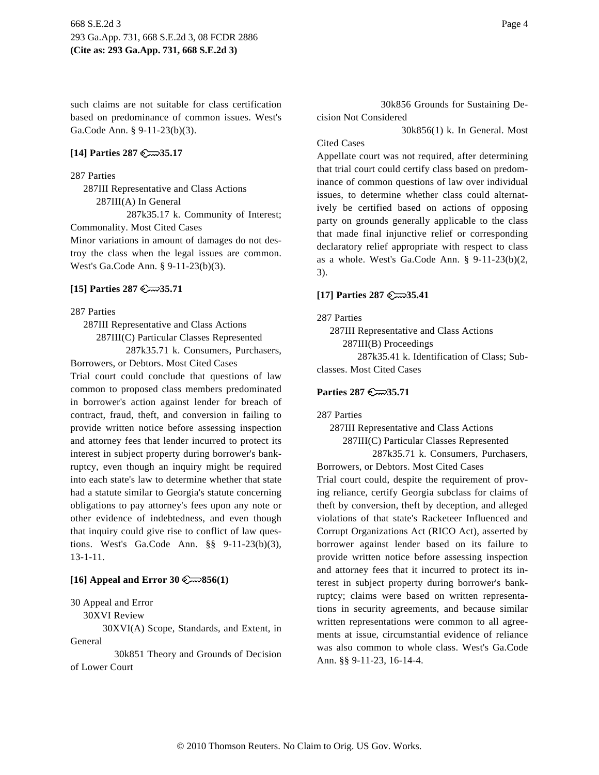such claims are not suitable for class certification based on predominance of common issues. West's Ga.Code Ann. § 9-11-23(b)(3).

#### **[14] Parties 287 35.17**

#### 287 Parties

287III Representative and Class Actions 287III(A) In General 287k35.17 k. Community of Interest; Commonality. Most Cited Cases Minor variations in amount of damages do not destroy the class when the legal issues are common. West's Ga.Code Ann. § 9-11-23(b)(3).

### **[15] Parties 287 35.71**

#### 287 Parties

287III Representative and Class Actions

287III(C) Particular Classes Represented

287k35.71 k. Consumers, Purchasers, Borrowers, or Debtors. Most Cited Cases

Trial court could conclude that questions of law common to proposed class members predominated in borrower's action against lender for breach of contract, fraud, theft, and conversion in failing to provide written notice before assessing inspection and attorney fees that lender incurred to protect its interest in subject property during borrower's bankruptcy, even though an inquiry might be required into each state's law to determine whether that state had a statute similar to Georgia's statute concerning obligations to pay attorney's fees upon any note or other evidence of indebtedness, and even though that inquiry could give rise to conflict of law questions. West's Ga.Code Ann. §§ 9-11-23(b)(3), 13-1-11.

### **[16] Appeal and Error 30 856(1)**

### 30 Appeal and Error

30XVI Review

30XVI(A) Scope, Standards, and Extent, in General

30k851 Theory and Grounds of Decision of Lower Court

30k856 Grounds for Sustaining Decision Not Considered

30k856(1) k. In General. Most

#### Cited Cases

Appellate court was not required, after determining that trial court could certify class based on predominance of common questions of law over individual issues, to determine whether class could alternatively be certified based on actions of opposing party on grounds generally applicable to the class that made final injunctive relief or corresponding declaratory relief appropriate with respect to class as a whole. West's Ga.Code Ann. § 9-11-23(b)(2, 3).

## **[17] Parties 287 35.41**

287 Parties

287III Representative and Class Actions

287III(B) Proceedings

287k35.41 k. Identification of Class; Subclasses. Most Cited Cases

#### **Parties 287 35.71**

287 Parties

287III Representative and Class Actions 287III(C) Particular Classes Represented

287k35.71 k. Consumers, Purchasers, Borrowers, or Debtors. Most Cited Cases

Trial court could, despite the requirement of proving reliance, certify Georgia subclass for claims of theft by conversion, theft by deception, and alleged violations of that state's Racketeer Influenced and Corrupt Organizations Act (RICO Act), asserted by borrower against lender based on its failure to provide written notice before assessing inspection and attorney fees that it incurred to protect its interest in subject property during borrower's bankruptcy; claims were based on written representations in security agreements, and because similar written representations were common to all agreements at issue, circumstantial evidence of reliance was also common to whole class. West's Ga.Code Ann. §§ 9-11-23, 16-14-4.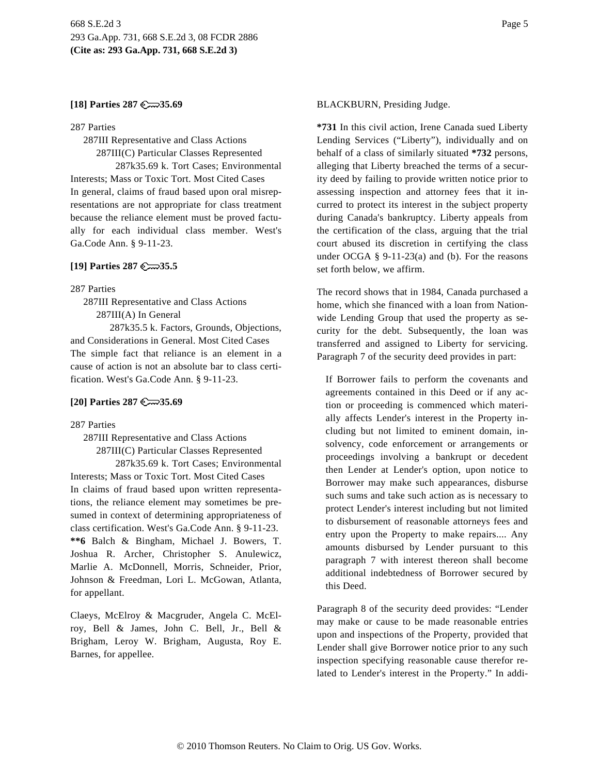### **[18] Parties 287 35.69**

#### 287 Parties

287III Representative and Class Actions 287III(C) Particular Classes Represented 287k35.69 k. Tort Cases; Environmental Interests; Mass or Toxic Tort. Most Cited Cases In general, claims of fraud based upon oral misrepresentations are not appropriate for class treatment because the reliance element must be proved factually for each individual class member. West's Ga.Code Ann. § 9-11-23.

#### **[19] Parties 287 35.5**

287 Parties

287III Representative and Class Actions 287III(A) In General

287k35.5 k. Factors, Grounds, Objections, and Considerations in General. Most Cited Cases The simple fact that reliance is an element in a cause of action is not an absolute bar to class certification. West's Ga.Code Ann. § 9-11-23.

#### **[20] Parties 287 35.69**

287 Parties

287III Representative and Class Actions 287III(C) Particular Classes Represented

287k35.69 k. Tort Cases; Environmental Interests; Mass or Toxic Tort. Most Cited Cases In claims of fraud based upon written representations, the reliance element may sometimes be presumed in context of determining appropriateness of class certification. West's Ga.Code Ann. § 9-11-23. **\*\*6** Balch & Bingham, Michael J. Bowers, T. Joshua R. Archer, Christopher S. Anulewicz, Marlie A. McDonnell, Morris, Schneider, Prior, Johnson & Freedman, Lori L. McGowan, Atlanta, for appellant.

Claeys, McElroy & Macgruder, Angela C. McElroy, Bell & James, John C. Bell, Jr., Bell & Brigham, Leroy W. Brigham, Augusta, Roy E. Barnes, for appellee.

**\*731** In this civil action, Irene Canada sued Liberty Lending Services ("Liberty"), individually and on behalf of a class of similarly situated **\*732** persons, alleging that Liberty breached the terms of a security deed by failing to provide written notice prior to assessing inspection and attorney fees that it incurred to protect its interest in the subject property during Canada's bankruptcy. Liberty appeals from the certification of the class, arguing that the trial court abused its discretion in certifying the class under OCGA  $\S$  9-11-23(a) and (b). For the reasons set forth below, we affirm.

The record shows that in 1984, Canada purchased a home, which she financed with a loan from Nationwide Lending Group that used the property as security for the debt. Subsequently, the loan was transferred and assigned to Liberty for servicing. Paragraph 7 of the security deed provides in part:

If Borrower fails to perform the covenants and agreements contained in this Deed or if any action or proceeding is commenced which materially affects Lender's interest in the Property including but not limited to eminent domain, insolvency, code enforcement or arrangements or proceedings involving a bankrupt or decedent then Lender at Lender's option, upon notice to Borrower may make such appearances, disburse such sums and take such action as is necessary to protect Lender's interest including but not limited to disbursement of reasonable attorneys fees and entry upon the Property to make repairs.... Any amounts disbursed by Lender pursuant to this paragraph 7 with interest thereon shall become additional indebtedness of Borrower secured by this Deed.

Paragraph 8 of the security deed provides: "Lender may make or cause to be made reasonable entries upon and inspections of the Property, provided that Lender shall give Borrower notice prior to any such inspection specifying reasonable cause therefor related to Lender's interest in the Property." In addi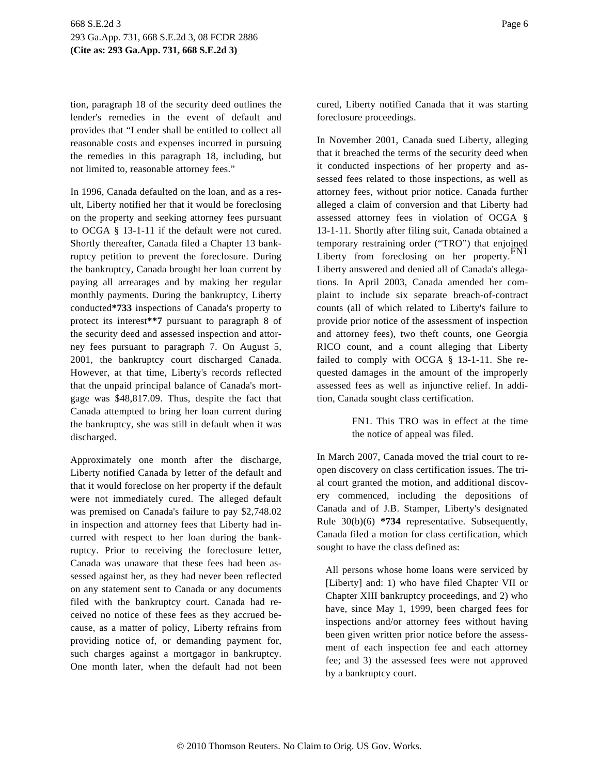tion, paragraph 18 of the security deed outlines the lender's remedies in the event of default and provides that "Lender shall be entitled to collect all reasonable costs and expenses incurred in pursuing the remedies in this paragraph 18, including, but not limited to, reasonable attorney fees."

In 1996, Canada defaulted on the loan, and as a result, Liberty notified her that it would be foreclosing on the property and seeking attorney fees pursuant to OCGA § 13-1-11 if the default were not cured. Shortly thereafter, Canada filed a Chapter 13 bankruptcy petition to prevent the foreclosure. During the bankruptcy, Canada brought her loan current by paying all arrearages and by making her regular monthly payments. During the bankruptcy, Liberty conducted**\*733** inspections of Canada's property to protect its interest**\*\*7** pursuant to paragraph 8 of the security deed and assessed inspection and attorney fees pursuant to paragraph 7. On August 5, 2001, the bankruptcy court discharged Canada. However, at that time, Liberty's records reflected that the unpaid principal balance of Canada's mortgage was \$48,817.09. Thus, despite the fact that Canada attempted to bring her loan current during the bankruptcy, she was still in default when it was discharged.

Approximately one month after the discharge, Liberty notified Canada by letter of the default and that it would foreclose on her property if the default were not immediately cured. The alleged default was premised on Canada's failure to pay \$2,748.02 in inspection and attorney fees that Liberty had incurred with respect to her loan during the bankruptcy. Prior to receiving the foreclosure letter, Canada was unaware that these fees had been assessed against her, as they had never been reflected on any statement sent to Canada or any documents filed with the bankruptcy court. Canada had received no notice of these fees as they accrued because, as a matter of policy, Liberty refrains from providing notice of, or demanding payment for, such charges against a mortgagor in bankruptcy. One month later, when the default had not been cured, Liberty notified Canada that it was starting foreclosure proceedings.

In November 2001, Canada sued Liberty, alleging that it breached the terms of the security deed when it conducted inspections of her property and assessed fees related to those inspections, as well as attorney fees, without prior notice. Canada further alleged a claim of conversion and that Liberty had assessed attorney fees in violation of OCGA § 13-1-11. Shortly after filing suit, Canada obtained a temporary restraining order ("TRO") that enjoined Liberty from foreclosing on her property. FN1 Liberty answered and denied all of Canada's allegations. In April 2003, Canada amended her complaint to include six separate breach-of-contract counts (all of which related to Liberty's failure to provide prior notice of the assessment of inspection and attorney fees), two theft counts, one Georgia RICO count, and a count alleging that Liberty failed to comply with OCGA § 13-1-11. She requested damages in the amount of the improperly assessed fees as well as injunctive relief. In addition, Canada sought class certification.

> FN1. This TRO was in effect at the time the notice of appeal was filed.

In March 2007, Canada moved the trial court to reopen discovery on class certification issues. The trial court granted the motion, and additional discovery commenced, including the depositions of Canada and of J.B. Stamper, Liberty's designated Rule 30(b)(6) **\*734** representative. Subsequently, Canada filed a motion for class certification, which sought to have the class defined as:

All persons whose home loans were serviced by [Liberty] and: 1) who have filed Chapter VII or Chapter XIII bankruptcy proceedings, and 2) who have, since May 1, 1999, been charged fees for inspections and/or attorney fees without having been given written prior notice before the assessment of each inspection fee and each attorney fee; and 3) the assessed fees were not approved by a bankruptcy court.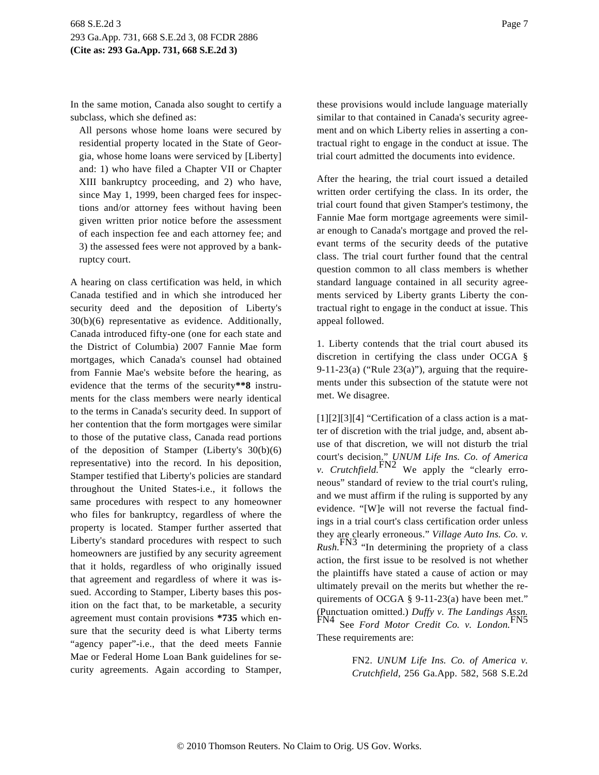In the same motion, Canada also sought to certify a subclass, which she defined as:

All persons whose home loans were secured by residential property located in the State of Georgia, whose home loans were serviced by [Liberty] and: 1) who have filed a Chapter VII or Chapter XIII bankruptcy proceeding, and 2) who have, since May 1, 1999, been charged fees for inspections and/or attorney fees without having been given written prior notice before the assessment of each inspection fee and each attorney fee; and 3) the assessed fees were not approved by a bankruptcy court.

A hearing on class certification was held, in which Canada testified and in which she introduced her security deed and the deposition of Liberty's 30(b)(6) representative as evidence. Additionally, Canada introduced fifty-one (one for each state and the District of Columbia) 2007 Fannie Mae form mortgages, which Canada's counsel had obtained from Fannie Mae's website before the hearing, as evidence that the terms of the security**\*\*8** instruments for the class members were nearly identical to the terms in Canada's security deed. In support of her contention that the form mortgages were similar to those of the putative class, Canada read portions of the deposition of Stamper (Liberty's 30(b)(6) representative) into the record. In his deposition, Stamper testified that Liberty's policies are standard throughout the United States-i.e., it follows the same procedures with respect to any homeowner who files for bankruptcy, regardless of where the property is located. Stamper further asserted that Liberty's standard procedures with respect to such homeowners are justified by any security agreement that it holds, regardless of who originally issued that agreement and regardless of where it was issued. According to Stamper, Liberty bases this position on the fact that, to be marketable, a security agreement must contain provisions **\*735** which ensure that the security deed is what Liberty terms "agency paper"-i.e., that the deed meets Fannie Mae or Federal Home Loan Bank guidelines for security agreements. Again according to Stamper, these provisions would include language materially similar to that contained in Canada's security agreement and on which Liberty relies in asserting a contractual right to engage in the conduct at issue. The trial court admitted the documents into evidence.

After the hearing, the trial court issued a detailed written order certifying the class. In its order, the trial court found that given Stamper's testimony, the Fannie Mae form mortgage agreements were similar enough to Canada's mortgage and proved the relevant terms of the security deeds of the putative class. The trial court further found that the central question common to all class members is whether standard language contained in all security agreements serviced by Liberty grants Liberty the contractual right to engage in the conduct at issue. This appeal followed.

1. Liberty contends that the trial court abused its discretion in certifying the class under OCGA § 9-11-23(a) ("Rule  $23(a)$ "), arguing that the requirements under this subsection of the statute were not met. We disagree.

[1][2][3][4] "Certification of a class action is a matter of discretion with the trial judge, and, absent abuse of that discretion, we will not disturb the trial court's decision." *UNUM Life Ins. Co. of America*<br>*v. Crutchfield.* FN2 We apply the "clearly erroneous" standard of review to the trial court's ruling, and we must affirm if the ruling is supported by any evidence. "[W]e will not reverse the factual findings in a trial court's class certification order unless they are clearly erroneous." *Village Auto Ins. Co. v. Rush.*FN3 "In determining the propriety of a class action, the first issue to be resolved is not whether the plaintiffs have stated a cause of action or may ultimately prevail on the merits but whether the requirements of OCGA § 9-11-23(a) have been met." (Punctuation omitted.) *Duffy v. The Landings Assn.* See *Ford Motor Credit Co. v. London.*<sup>1</sup> These requirements are:

> FN2. *UNUM Life Ins. Co. of America v. Crutchfield,* 256 Ga.App. 582, 568 S.E.2d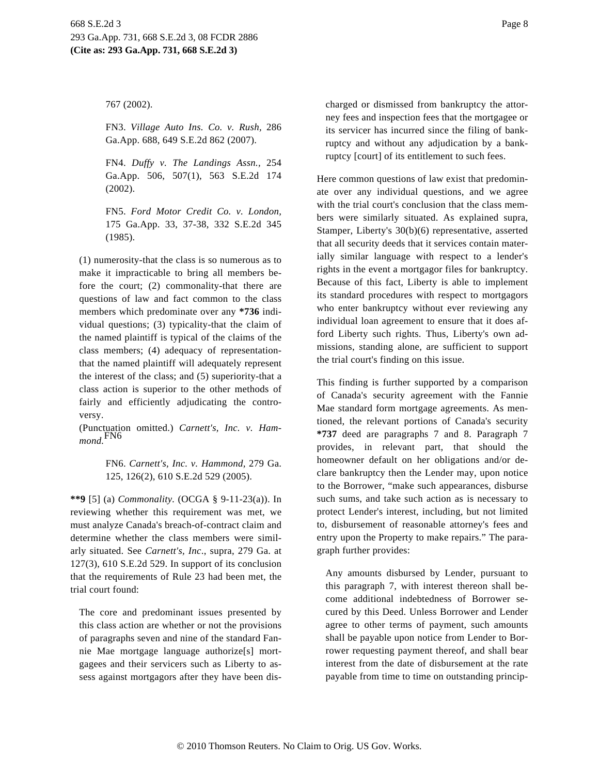767 (2002).

FN3. *Village Auto Ins. Co. v. Rush,* 286 Ga.App. 688, 649 S.E.2d 862 (2007).

FN4. *Duffy v. The Landings Assn.,* 254 Ga.App. 506, 507(1), 563 S.E.2d 174 (2002).

FN5. *Ford Motor Credit Co. v. London,* 175 Ga.App. 33, 37-38, 332 S.E.2d 345 (1985).

(1) numerosity-that the class is so numerous as to make it impracticable to bring all members before the court; (2) commonality-that there are questions of law and fact common to the class members which predominate over any **\*736** individual questions; (3) typicality-that the claim of the named plaintiff is typical of the claims of the class members; (4) adequacy of representationthat the named plaintiff will adequately represent the interest of the class; and (5) superiority-that a class action is superior to the other methods of fairly and efficiently adjudicating the controversy.

(Punctuation omitted.) *Carnett's, Inc. v. Hammond.*FN6

> FN6. *Carnett's, Inc. v. Hammond,* 279 Ga. 125, 126(2), 610 S.E.2d 529 (2005).

**\*\*9** [5] (a) *Commonality.* (OCGA § 9-11-23(a)). In reviewing whether this requirement was met, we must analyze Canada's breach-of-contract claim and determine whether the class members were similarly situated. See *Carnett's, Inc*., supra, 279 Ga. at 127(3), 610 S.E.2d 529. In support of its conclusion that the requirements of Rule 23 had been met, the trial court found:

The core and predominant issues presented by this class action are whether or not the provisions of paragraphs seven and nine of the standard Fannie Mae mortgage language authorize[s] mortgagees and their servicers such as Liberty to assess against mortgagors after they have been discharged or dismissed from bankruptcy the attorney fees and inspection fees that the mortgagee or its servicer has incurred since the filing of bankruptcy and without any adjudication by a bankruptcy [court] of its entitlement to such fees.

Here common questions of law exist that predominate over any individual questions, and we agree with the trial court's conclusion that the class members were similarly situated. As explained supra, Stamper, Liberty's 30(b)(6) representative, asserted that all security deeds that it services contain materially similar language with respect to a lender's rights in the event a mortgagor files for bankruptcy. Because of this fact, Liberty is able to implement its standard procedures with respect to mortgagors who enter bankruptcy without ever reviewing any individual loan agreement to ensure that it does afford Liberty such rights. Thus, Liberty's own admissions, standing alone, are sufficient to support the trial court's finding on this issue.

This finding is further supported by a comparison of Canada's security agreement with the Fannie Mae standard form mortgage agreements. As mentioned, the relevant portions of Canada's security **\*737** deed are paragraphs 7 and 8. Paragraph 7 provides, in relevant part, that should the homeowner default on her obligations and/or declare bankruptcy then the Lender may, upon notice to the Borrower, "make such appearances, disburse such sums, and take such action as is necessary to protect Lender's interest, including, but not limited to, disbursement of reasonable attorney's fees and entry upon the Property to make repairs." The paragraph further provides:

Any amounts disbursed by Lender, pursuant to this paragraph 7, with interest thereon shall become additional indebtedness of Borrower secured by this Deed. Unless Borrower and Lender agree to other terms of payment, such amounts shall be payable upon notice from Lender to Borrower requesting payment thereof, and shall bear interest from the date of disbursement at the rate payable from time to time on outstanding princip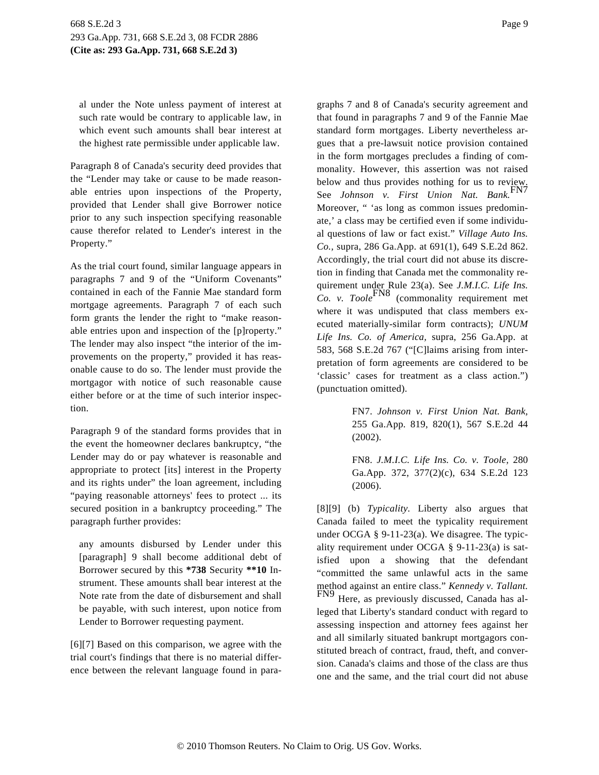al under the Note unless payment of interest at such rate would be contrary to applicable law, in which event such amounts shall bear interest at the highest rate permissible under applicable law.

Paragraph 8 of Canada's security deed provides that the "Lender may take or cause to be made reasonable entries upon inspections of the Property, provided that Lender shall give Borrower notice prior to any such inspection specifying reasonable cause therefor related to Lender's interest in the Property."

As the trial court found, similar language appears in paragraphs 7 and 9 of the "Uniform Covenants" contained in each of the Fannie Mae standard form mortgage agreements. Paragraph 7 of each such form grants the lender the right to "make reasonable entries upon and inspection of the [p]roperty." The lender may also inspect "the interior of the improvements on the property," provided it has reasonable cause to do so. The lender must provide the mortgagor with notice of such reasonable cause either before or at the time of such interior inspection.

Paragraph 9 of the standard forms provides that in the event the homeowner declares bankruptcy, "the Lender may do or pay whatever is reasonable and appropriate to protect [its] interest in the Property and its rights under" the loan agreement, including "paying reasonable attorneys' fees to protect ... its secured position in a bankruptcy proceeding." The paragraph further provides:

any amounts disbursed by Lender under this [paragraph] 9 shall become additional debt of Borrower secured by this **\*738** Security **\*\*10** Instrument. These amounts shall bear interest at the Note rate from the date of disbursement and shall be payable, with such interest, upon notice from Lender to Borrower requesting payment.

[6][7] Based on this comparison, we agree with the trial court's findings that there is no material difference between the relevant language found in paragraphs 7 and 8 of Canada's security agreement and that found in paragraphs 7 and 9 of the Fannie Mae standard form mortgages. Liberty nevertheless argues that a pre-lawsuit notice provision contained in the form mortgages precludes a finding of commonality. However, this assertion was not raised below and thus provides nothing for us to review. See *Johnson v. First Union Nat. Bank.*FN7 Moreover, " 'as long as common issues predominate,' a class may be certified even if some individual questions of law or fact exist." *Village Auto Ins. Co.,* supra, 286 Ga.App. at 691(1), 649 S.E.2d 862. Accordingly, the trial court did not abuse its discretion in finding that Canada met the commonality requirement under Rule 23(a). See *J.M.I.C. Life Ins. Co. v. Toole*FN8 (commonality requirement met where it was undisputed that class members executed materially-similar form contracts); *UNUM Life Ins. Co. of America,* supra, 256 Ga.App. at 583, 568 S.E.2d 767 ("[C]laims arising from interpretation of form agreements are considered to be 'classic' cases for treatment as a class action.") (punctuation omitted).

> FN7. *Johnson v. First Union Nat. Bank,* 255 Ga.App. 819, 820(1), 567 S.E.2d 44 (2002).

> FN8. *J.M.I.C. Life Ins. Co. v. Toole,* 280 Ga.App. 372, 377(2)(c), 634 S.E.2d 123 (2006).

[8][9] (b) *Typicality.* Liberty also argues that Canada failed to meet the typicality requirement under OCGA § 9-11-23(a). We disagree. The typicality requirement under OCGA § 9-11-23(a) is satisfied upon a showing that the defendant "committed the same unlawful acts in the same method against an entire class." *Kennedy v. Tallant.* FN9 Here, as previously discussed, Canada has al-

leged that Liberty's standard conduct with regard to assessing inspection and attorney fees against her and all similarly situated bankrupt mortgagors constituted breach of contract, fraud, theft, and conversion. Canada's claims and those of the class are thus one and the same, and the trial court did not abuse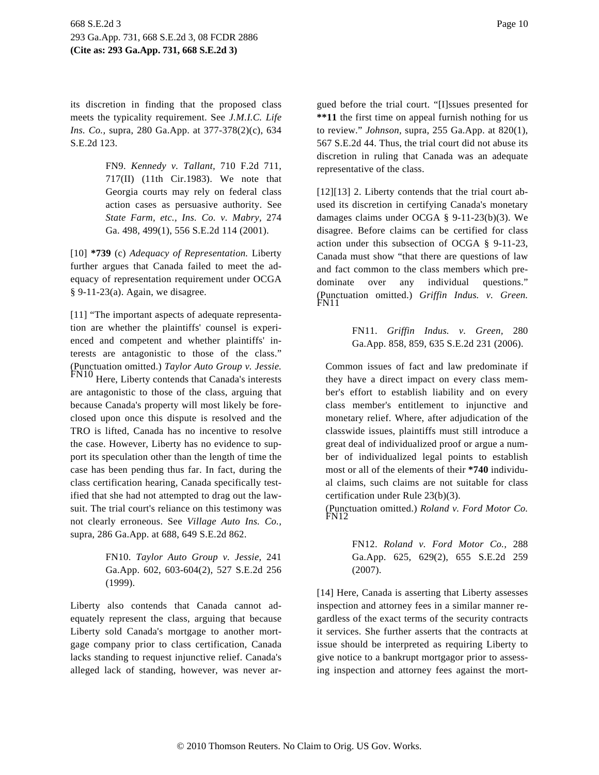its discretion in finding that the proposed class meets the typicality requirement. See *J.M.I.C. Life Ins. Co.,* supra, 280 Ga.App. at 377-378(2)(c), 634 S.E.2d 123.

> FN9. *Kennedy v. Tallant,* 710 F.2d 711, 717(II) (11th Cir.1983). We note that Georgia courts may rely on federal class action cases as persuasive authority. See *State Farm, etc., Ins. Co. v. Mabry,* 274 Ga. 498, 499(1), 556 S.E.2d 114 (2001).

[10] **\*739** (c) *Adequacy of Representation.* Liberty further argues that Canada failed to meet the adequacy of representation requirement under OCGA § 9-11-23(a). Again, we disagree.

[11] "The important aspects of adequate representation are whether the plaintiffs' counsel is experienced and competent and whether plaintiffs' interests are antagonistic to those of the class." (Punctuation omitted.) *Taylor Auto Group v. Jessie.* FN10 Here, Liberty contends that Canada's interests are antagonistic to those of the class, arguing that because Canada's property will most likely be foreclosed upon once this dispute is resolved and the TRO is lifted, Canada has no incentive to resolve the case. However, Liberty has no evidence to support its speculation other than the length of time the case has been pending thus far. In fact, during the class certification hearing, Canada specifically testified that she had not attempted to drag out the lawsuit. The trial court's reliance on this testimony was not clearly erroneous. See *Village Auto Ins. Co.,* supra, 286 Ga.App. at 688, 649 S.E.2d 862.

> FN10. *Taylor Auto Group v. Jessie,* 241 Ga.App. 602, 603-604(2), 527 S.E.2d 256 (1999).

Liberty also contends that Canada cannot adequately represent the class, arguing that because Liberty sold Canada's mortgage to another mortgage company prior to class certification, Canada lacks standing to request injunctive relief. Canada's alleged lack of standing, however, was never argued before the trial court. "[I]ssues presented for **\*\*11** the first time on appeal furnish nothing for us to review." *Johnson,* supra, 255 Ga.App. at 820(1), 567 S.E.2d 44. Thus, the trial court did not abuse its discretion in ruling that Canada was an adequate representative of the class.

[12][13] 2. Liberty contends that the trial court abused its discretion in certifying Canada's monetary damages claims under OCGA § 9-11-23(b)(3). We disagree. Before claims can be certified for class action under this subsection of OCGA § 9-11-23, Canada must show "that there are questions of law and fact common to the class members which predominate over any individual questions." (Punctuation omitted.) *Griffin Indus. v. Green.* FN11

> FN11. *Griffin Indus. v. Green,* 280 Ga.App. 858, 859, 635 S.E.2d 231 (2006).

Common issues of fact and law predominate if they have a direct impact on every class member's effort to establish liability and on every class member's entitlement to injunctive and monetary relief. Where, after adjudication of the classwide issues, plaintiffs must still introduce a great deal of individualized proof or argue a number of individualized legal points to establish most or all of the elements of their **\*740** individual claims, such claims are not suitable for class certification under Rule 23(b)(3).

(Punctuation omitted.) *Roland v. Ford Motor Co.* FN12

> FN12. *Roland v. Ford Motor Co.,* 288 Ga.App. 625, 629(2), 655 S.E.2d 259 (2007).

[14] Here, Canada is asserting that Liberty assesses inspection and attorney fees in a similar manner regardless of the exact terms of the security contracts it services. She further asserts that the contracts at issue should be interpreted as requiring Liberty to give notice to a bankrupt mortgagor prior to assessing inspection and attorney fees against the mort-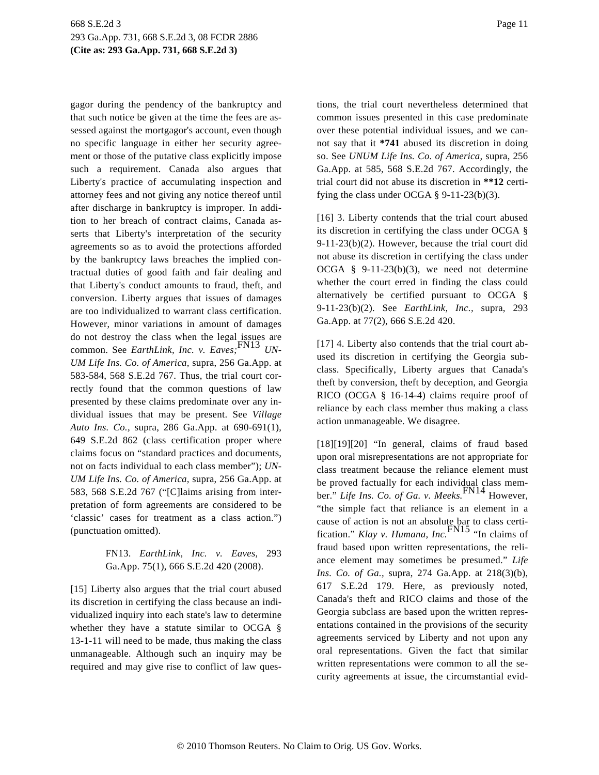gagor during the pendency of the bankruptcy and that such notice be given at the time the fees are assessed against the mortgagor's account, even though no specific language in either her security agreement or those of the putative class explicitly impose such a requirement. Canada also argues that Liberty's practice of accumulating inspection and attorney fees and not giving any notice thereof until after discharge in bankruptcy is improper. In addition to her breach of contract claims, Canada asserts that Liberty's interpretation of the security agreements so as to avoid the protections afforded by the bankruptcy laws breaches the implied contractual duties of good faith and fair dealing and that Liberty's conduct amounts to fraud, theft, and conversion. Liberty argues that issues of damages are too individualized to warrant class certification. However, minor variations in amount of damages do not destroy the class when the legal issues are common. See *EarthLink, Inc. v. Eaves*;<sup>FN13</sup> *UN*-*UM Life Ins. Co. of America,* supra, 256 Ga.App. at 583-584, 568 S.E.2d 767. Thus, the trial court correctly found that the common questions of law presented by these claims predominate over any individual issues that may be present. See *Village Auto Ins. Co.,* supra, 286 Ga.App. at 690-691(1), 649 S.E.2d 862 (class certification proper where claims focus on "standard practices and documents, not on facts individual to each class member"); *UN-UM Life Ins. Co. of America,* supra, 256 Ga.App. at 583, 568 S.E.2d 767 ("[C]laims arising from interpretation of form agreements are considered to be 'classic' cases for treatment as a class action.") (punctuation omitted).

## FN13. *EarthLink, Inc. v. Eaves,* 293 Ga.App. 75(1), 666 S.E.2d 420 (2008).

[15] Liberty also argues that the trial court abused its discretion in certifying the class because an individualized inquiry into each state's law to determine whether they have a statute similar to OCGA § 13-1-11 will need to be made, thus making the class unmanageable. Although such an inquiry may be required and may give rise to conflict of law questions, the trial court nevertheless determined that common issues presented in this case predominate over these potential individual issues, and we cannot say that it **\*741** abused its discretion in doing so. See *UNUM Life Ins. Co. of America,* supra, 256 Ga.App. at 585, 568 S.E.2d 767. Accordingly, the trial court did not abuse its discretion in **\*\*12** certifying the class under OCGA  $\S$  9-11-23(b)(3).

[16] 3. Liberty contends that the trial court abused its discretion in certifying the class under OCGA § 9-11-23(b)(2). However, because the trial court did not abuse its discretion in certifying the class under OCGA § 9-11-23(b)(3), we need not determine whether the court erred in finding the class could alternatively be certified pursuant to OCGA § 9-11-23(b)(2). See *EarthLink, Inc.,* supra, 293 Ga.App. at 77(2), 666 S.E.2d 420.

[17] 4. Liberty also contends that the trial court abused its discretion in certifying the Georgia subclass. Specifically, Liberty argues that Canada's theft by conversion, theft by deception, and Georgia RICO (OCGA § 16-14-4) claims require proof of reliance by each class member thus making a class action unmanageable. We disagree.

[18][19][20] "In general, claims of fraud based upon oral misrepresentations are not appropriate for class treatment because the reliance element must be proved factually for each individual class mem-ber." *Life Ins. Co. of Ga. v. Meeks.*FN14 However, "the simple fact that reliance is an element in a cause of action is not an absolute bar to class certi-<br>fication." *Klay v. Humana, Inc.*<sup>FN15</sup> "In claims of fraud based upon written representations, the reliance element may sometimes be presumed." *Life Ins. Co. of Ga.,* supra, 274 Ga.App. at 218(3)(b), 617 S.E.2d 179. Here, as previously noted, Canada's theft and RICO claims and those of the Georgia subclass are based upon the written representations contained in the provisions of the security agreements serviced by Liberty and not upon any oral representations. Given the fact that similar written representations were common to all the security agreements at issue, the circumstantial evid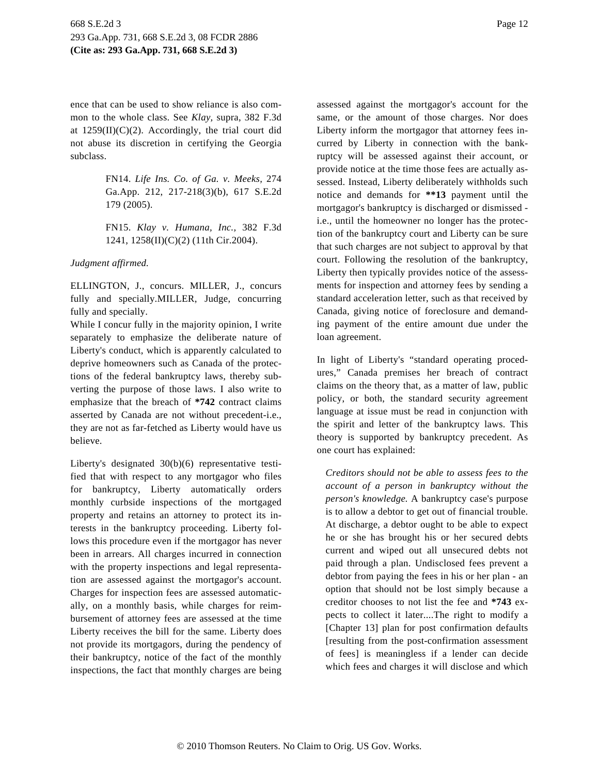ence that can be used to show reliance is also common to the whole class. See *Klay,* supra, 382 F.3d at  $1259(II)(C)(2)$ . Accordingly, the trial court did not abuse its discretion in certifying the Georgia subclass.

> FN14. *Life Ins. Co. of Ga. v. Meeks,* 274 Ga.App. 212, 217-218(3)(b), 617 S.E.2d 179 (2005).

> FN15. *Klay v. Humana, Inc.,* 382 F.3d 1241, 1258(II)(C)(2) (11th Cir.2004).

*Judgment affirmed.*

ELLINGTON, J., concurs. MILLER, J., concurs fully and specially.MILLER, Judge, concurring fully and specially.

While I concur fully in the majority opinion, I write separately to emphasize the deliberate nature of Liberty's conduct, which is apparently calculated to deprive homeowners such as Canada of the protections of the federal bankruptcy laws, thereby subverting the purpose of those laws. I also write to emphasize that the breach of **\*742** contract claims asserted by Canada are not without precedent-i.e., they are not as far-fetched as Liberty would have us believe.

Liberty's designated 30(b)(6) representative testified that with respect to any mortgagor who files for bankruptcy, Liberty automatically orders monthly curbside inspections of the mortgaged property and retains an attorney to protect its interests in the bankruptcy proceeding. Liberty follows this procedure even if the mortgagor has never been in arrears. All charges incurred in connection with the property inspections and legal representation are assessed against the mortgagor's account. Charges for inspection fees are assessed automatically, on a monthly basis, while charges for reimbursement of attorney fees are assessed at the time Liberty receives the bill for the same. Liberty does not provide its mortgagors, during the pendency of their bankruptcy, notice of the fact of the monthly inspections, the fact that monthly charges are being assessed against the mortgagor's account for the same, or the amount of those charges. Nor does Liberty inform the mortgagor that attorney fees incurred by Liberty in connection with the bankruptcy will be assessed against their account, or provide notice at the time those fees are actually assessed. Instead, Liberty deliberately withholds such notice and demands for **\*\*13** payment until the mortgagor's bankruptcy is discharged or dismissed i.e., until the homeowner no longer has the protection of the bankruptcy court and Liberty can be sure that such charges are not subject to approval by that court. Following the resolution of the bankruptcy, Liberty then typically provides notice of the assessments for inspection and attorney fees by sending a standard acceleration letter, such as that received by Canada, giving notice of foreclosure and demanding payment of the entire amount due under the loan agreement.

In light of Liberty's "standard operating procedures," Canada premises her breach of contract claims on the theory that, as a matter of law, public policy, or both, the standard security agreement language at issue must be read in conjunction with the spirit and letter of the bankruptcy laws. This theory is supported by bankruptcy precedent. As one court has explained:

*Creditors should not be able to assess fees to the account of a person in bankruptcy without the person's knowledge.* A bankruptcy case's purpose is to allow a debtor to get out of financial trouble. At discharge, a debtor ought to be able to expect he or she has brought his or her secured debts current and wiped out all unsecured debts not paid through a plan. Undisclosed fees prevent a debtor from paying the fees in his or her plan - an option that should not be lost simply because a creditor chooses to not list the fee and **\*743** expects to collect it later....The right to modify a [Chapter 13] plan for post confirmation defaults [resulting from the post-confirmation assessment of fees] is meaningless if a lender can decide which fees and charges it will disclose and which